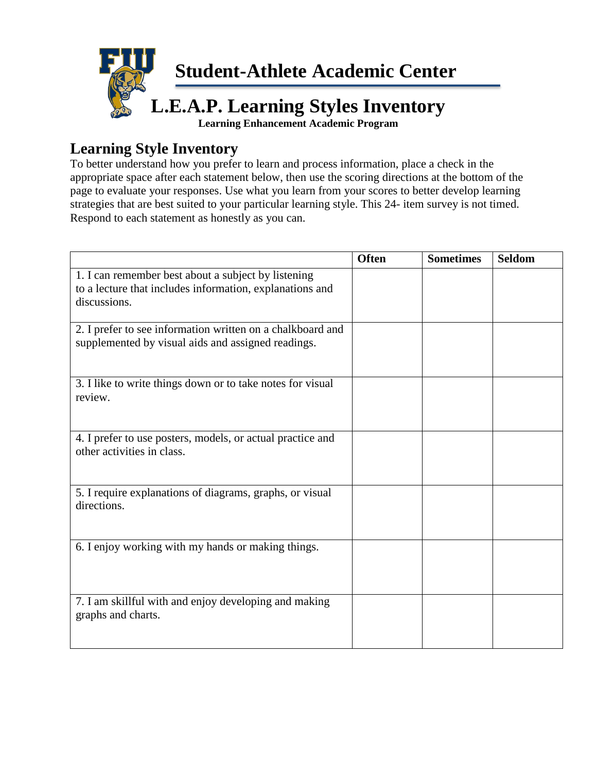

# **Learning Style Inventory**

To better understand how you prefer to learn and process information, place a check in the appropriate space after each statement below, then use the scoring directions at the bottom of the page to evaluate your responses. Use what you learn from your scores to better develop learning strategies that are best suited to your particular learning style. This 24- item survey is not timed. Respond to each statement as honestly as you can.

|                                                                                                                 | <b>Often</b> | <b>Sometimes</b> | <b>Seldom</b> |
|-----------------------------------------------------------------------------------------------------------------|--------------|------------------|---------------|
| 1. I can remember best about a subject by listening<br>to a lecture that includes information, explanations and |              |                  |               |
| discussions.                                                                                                    |              |                  |               |
| 2. I prefer to see information written on a chalkboard and                                                      |              |                  |               |
| supplemented by visual aids and assigned readings.                                                              |              |                  |               |
| 3. I like to write things down or to take notes for visual<br>review.                                           |              |                  |               |
| 4. I prefer to use posters, models, or actual practice and<br>other activities in class.                        |              |                  |               |
| 5. I require explanations of diagrams, graphs, or visual<br>directions.                                         |              |                  |               |
| 6. I enjoy working with my hands or making things.                                                              |              |                  |               |
| 7. I am skillful with and enjoy developing and making<br>graphs and charts.                                     |              |                  |               |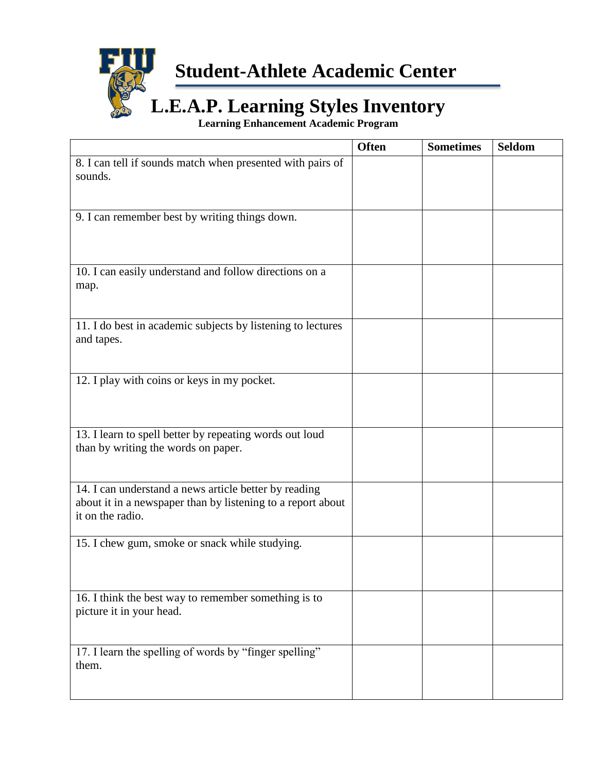

**Student-Athlete Academic Center**

# **L.E.A.P. Learning Styles Inventory**

**Learning Enhancement Academic Program**

|                                                                                                                                          | <b>Often</b> | <b>Sometimes</b> | <b>Seldom</b> |
|------------------------------------------------------------------------------------------------------------------------------------------|--------------|------------------|---------------|
| 8. I can tell if sounds match when presented with pairs of<br>sounds.                                                                    |              |                  |               |
| 9. I can remember best by writing things down.                                                                                           |              |                  |               |
| 10. I can easily understand and follow directions on a<br>map.                                                                           |              |                  |               |
| 11. I do best in academic subjects by listening to lectures<br>and tapes.                                                                |              |                  |               |
| 12. I play with coins or keys in my pocket.                                                                                              |              |                  |               |
| 13. I learn to spell better by repeating words out loud<br>than by writing the words on paper.                                           |              |                  |               |
| 14. I can understand a news article better by reading<br>about it in a newspaper than by listening to a report about<br>it on the radio. |              |                  |               |
| 15. I chew gum, smoke or snack while studying.                                                                                           |              |                  |               |
| 16. I think the best way to remember something is to<br>picture it in your head.                                                         |              |                  |               |
| 17. I learn the spelling of words by "finger spelling"<br>them.                                                                          |              |                  |               |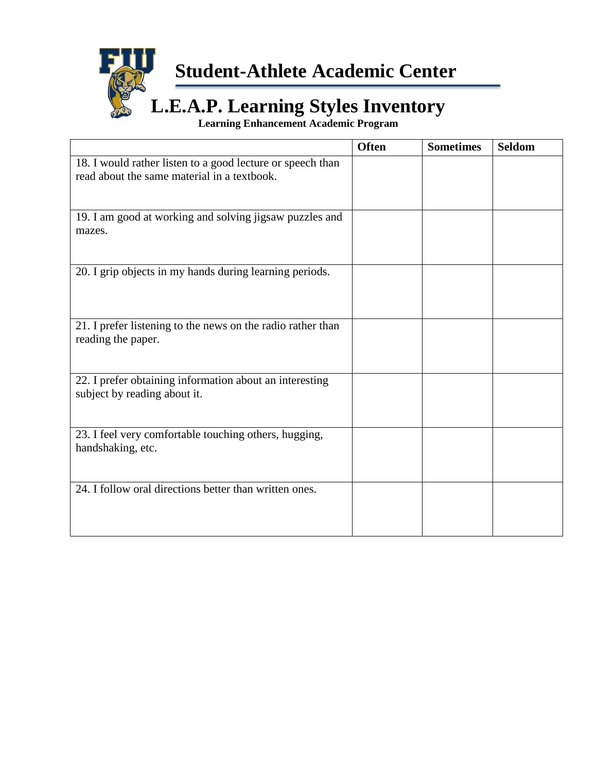

**Student-Athlete Academic Center**

# **L.E.A.P. Learning Styles Inventory**

**Learning Enhancement Academic Program**

|                                                                                                           | <b>Often</b> | <b>Sometimes</b> | <b>Seldom</b> |
|-----------------------------------------------------------------------------------------------------------|--------------|------------------|---------------|
| 18. I would rather listen to a good lecture or speech than<br>read about the same material in a textbook. |              |                  |               |
| 19. I am good at working and solving jigsaw puzzles and<br>mazes.                                         |              |                  |               |
| 20. I grip objects in my hands during learning periods.                                                   |              |                  |               |
| 21. I prefer listening to the news on the radio rather than<br>reading the paper.                         |              |                  |               |
| 22. I prefer obtaining information about an interesting<br>subject by reading about it.                   |              |                  |               |
| 23. I feel very comfortable touching others, hugging,<br>handshaking, etc.                                |              |                  |               |
| 24. I follow oral directions better than written ones.                                                    |              |                  |               |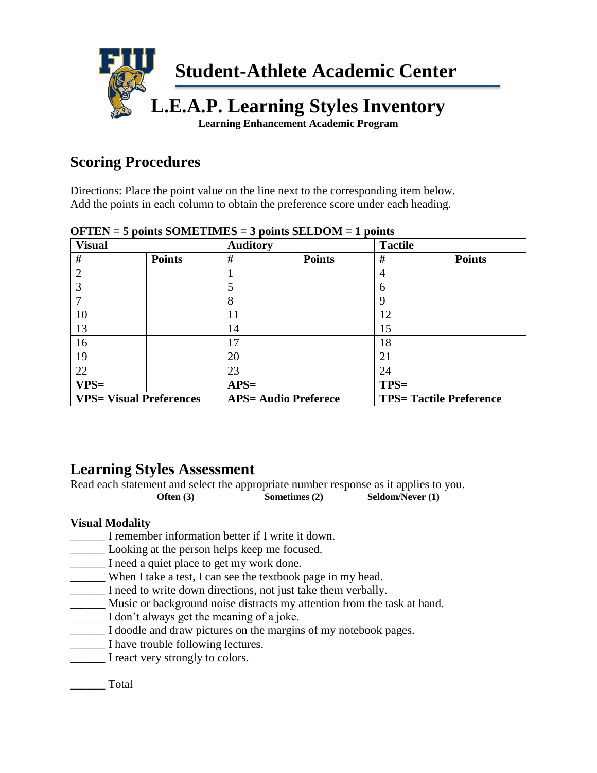

## **Scoring Procedures**

Directions: Place the point value on the line next to the corresponding item below. Add the points in each column to obtain the preference score under each heading.

| <b>Visual</b>               |                                | <b>Auditory</b>             |               | <b>Tactile</b> |                                |
|-----------------------------|--------------------------------|-----------------------------|---------------|----------------|--------------------------------|
| #                           | <b>Points</b>                  | #                           | <b>Points</b> | #              | <b>Points</b>                  |
| $\mathcal{D}_{\mathcal{L}}$ |                                |                             |               | 4              |                                |
|                             |                                | 5                           |               | 6              |                                |
|                             |                                | 8                           |               | 9              |                                |
| 10                          |                                | 11                          |               | 12             |                                |
| 13                          |                                | 14                          |               | 15             |                                |
| 16                          |                                | 17                          |               | 18             |                                |
| 19                          |                                | 20                          |               | 21             |                                |
| 22                          |                                | 23                          |               | 24             |                                |
| $VPS=$                      |                                | $APS=$                      |               | $TPS=$         |                                |
|                             | <b>VPS= Visual Preferences</b> | <b>APS= Audio Preferece</b> |               |                | <b>TPS= Tactile Preference</b> |

**OFTEN = 5 points SOMETIMES = 3 points SELDOM = 1 points**

## **Learning Styles Assessment**

Read each statement and select the appropriate number response as it applies to you. **Often (3) Sometimes (2) Seldom/Never (1)** 

## **Visual Modality**

- \_\_\_\_\_\_ I remember information better if I write it down.
- \_\_\_\_\_\_ Looking at the person helps keep me focused.
- \_\_\_\_\_\_ I need a quiet place to get my work done.
- \_\_\_\_\_\_ When I take a test, I can see the textbook page in my head.
- \_\_\_\_\_\_ I need to write down directions, not just take them verbally.
- \_\_\_\_\_\_ Music or background noise distracts my attention from the task at hand.
- \_\_\_\_\_\_ I don't always get the meaning of a joke.
- \_\_\_\_\_\_ I doodle and draw pictures on the margins of my notebook pages.
- \_\_\_\_\_\_ I have trouble following lectures.
- I react very strongly to colors.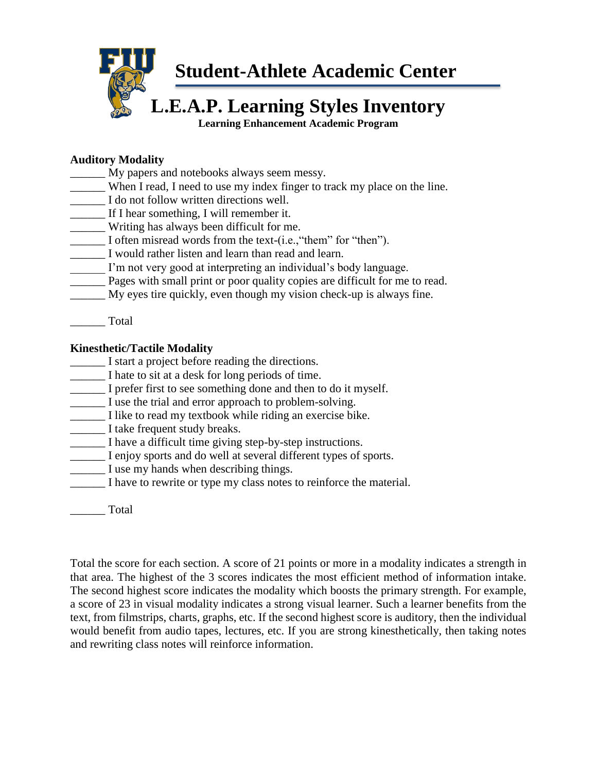

**Student-Athlete Academic Center**

# **L.E.A.P. Learning Styles Inventory**

**Learning Enhancement Academic Program**

#### **Auditory Modality**

- \_\_\_\_\_\_ My papers and notebooks always seem messy.
- \_\_\_\_\_\_ When I read, I need to use my index finger to track my place on the line.
- \_\_\_\_\_\_ I do not follow written directions well.
- \_\_\_\_\_\_ If I hear something, I will remember it.
- \_\_\_\_\_\_ Writing has always been difficult for me.
- \_\_\_\_\_\_ I often misread words from the text-(i.e.,"them" for "then").
- I would rather listen and learn than read and learn.
- \_\_\_\_\_\_ I'm not very good at interpreting an individual's body language.
- **EXECUTE:** Pages with small print or poor quality copies are difficult for me to read.
- \_\_\_\_\_\_ My eyes tire quickly, even though my vision check-up is always fine.

\_\_\_\_\_\_ Total

#### **Kinesthetic/Tactile Modality**

- \_\_\_\_\_\_ I start a project before reading the directions.
- \_\_\_\_\_\_ I hate to sit at a desk for long periods of time.
- \_\_\_\_\_\_ I prefer first to see something done and then to do it myself.
- \_\_\_\_\_\_ I use the trial and error approach to problem-solving.
- \_\_\_\_\_\_ I like to read my textbook while riding an exercise bike.
- \_\_\_\_\_\_ I take frequent study breaks.
- \_\_\_\_\_\_ I have a difficult time giving step-by-step instructions.
- \_\_\_\_\_\_ I enjoy sports and do well at several different types of sports.
- \_\_\_\_\_\_ I use my hands when describing things.
- \_\_\_\_\_\_ I have to rewrite or type my class notes to reinforce the material.

\_\_\_\_\_\_ Total

Total the score for each section. A score of 21 points or more in a modality indicates a strength in that area. The highest of the 3 scores indicates the most efficient method of information intake. The second highest score indicates the modality which boosts the primary strength. For example, a score of 23 in visual modality indicates a strong visual learner. Such a learner benefits from the text, from filmstrips, charts, graphs, etc. If the second highest score is auditory, then the individual would benefit from audio tapes, lectures, etc. If you are strong kinesthetically, then taking notes and rewriting class notes will reinforce information.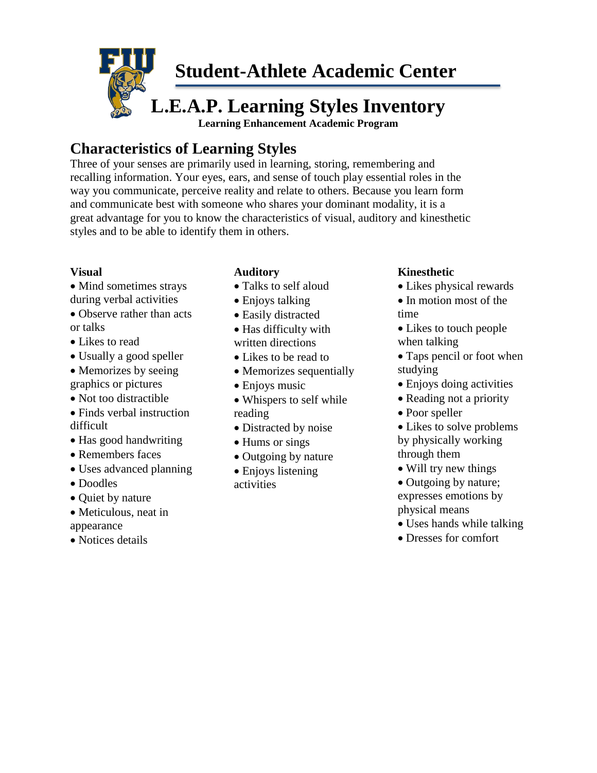

# **Characteristics of Learning Styles**

Three of your senses are primarily used in learning, storing, remembering and recalling information. Your eyes, ears, and sense of touch play essential roles in the way you communicate, perceive reality and relate to others. Because you learn form and communicate best with someone who shares your dominant modality, it is a great advantage for you to know the characteristics of visual, auditory and kinesthetic styles and to be able to identify them in others.

#### **Visual**

- Mind sometimes strays during verbal activities
- Observe rather than acts or talks
- Likes to read
- Usually a good speller
- Memorizes by seeing
- graphics or pictures
- Not too distractible
- Finds verbal instruction difficult
- Has good handwriting
- Remembers faces
- Uses advanced planning
- Doodles
- Quiet by nature
- Meticulous, neat in appearance
- Notices details

## **Auditory**

- Talks to self aloud
- Enjoys talking
- Easily distracted
- Has difficulty with written directions
- Likes to be read to
- Memorizes sequentially
- Enjoys music
- Whispers to self while reading
- Distracted by noise
- Hums or sings
- Outgoing by nature
- Enjoys listening activities

## **Kinesthetic**

- Likes physical rewards
- In motion most of the time
- Likes to touch people when talking
- Taps pencil or foot when studying
- Enjoys doing activities
- Reading not a priority
- Poor speller
- Likes to solve problems by physically working through them
- Will try new things
- Outgoing by nature; expresses emotions by physical means
- Uses hands while talking
- Dresses for comfort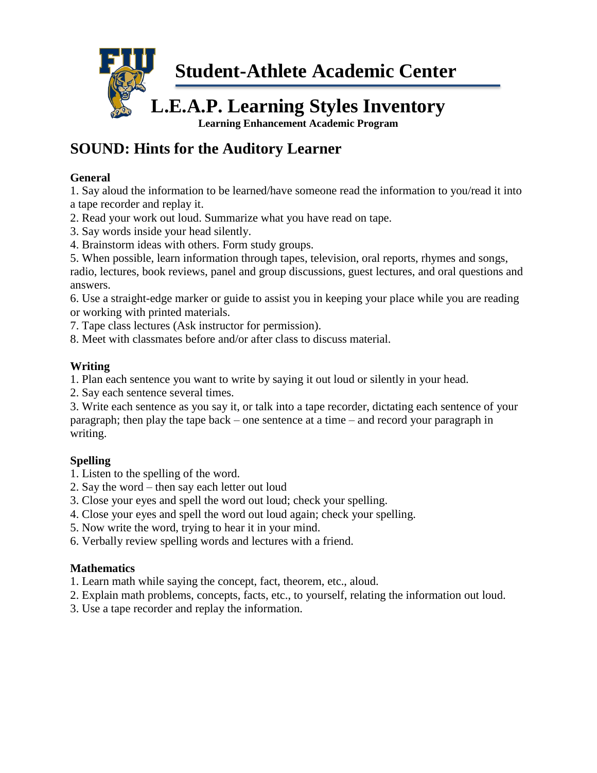

# **SOUND: Hints for the Auditory Learner**

#### **General**

1. Say aloud the information to be learned/have someone read the information to you/read it into a tape recorder and replay it.

- 2. Read your work out loud. Summarize what you have read on tape.
- 3. Say words inside your head silently.
- 4. Brainstorm ideas with others. Form study groups.
- 5. When possible, learn information through tapes, television, oral reports, rhymes and songs,

radio, lectures, book reviews, panel and group discussions, guest lectures, and oral questions and answers.

6. Use a straight-edge marker or guide to assist you in keeping your place while you are reading or working with printed materials.

- 7. Tape class lectures (Ask instructor for permission).
- 8. Meet with classmates before and/or after class to discuss material.

## **Writing**

1. Plan each sentence you want to write by saying it out loud or silently in your head.

2. Say each sentence several times.

3. Write each sentence as you say it, or talk into a tape recorder, dictating each sentence of your paragraph; then play the tape back – one sentence at a time – and record your paragraph in writing.

## **Spelling**

1. Listen to the spelling of the word.

- 2. Say the word then say each letter out loud
- 3. Close your eyes and spell the word out loud; check your spelling.
- 4. Close your eyes and spell the word out loud again; check your spelling.
- 5. Now write the word, trying to hear it in your mind.
- 6. Verbally review spelling words and lectures with a friend.

## **Mathematics**

- 1. Learn math while saying the concept, fact, theorem, etc., aloud.
- 2. Explain math problems, concepts, facts, etc., to yourself, relating the information out loud.
- 3. Use a tape recorder and replay the information.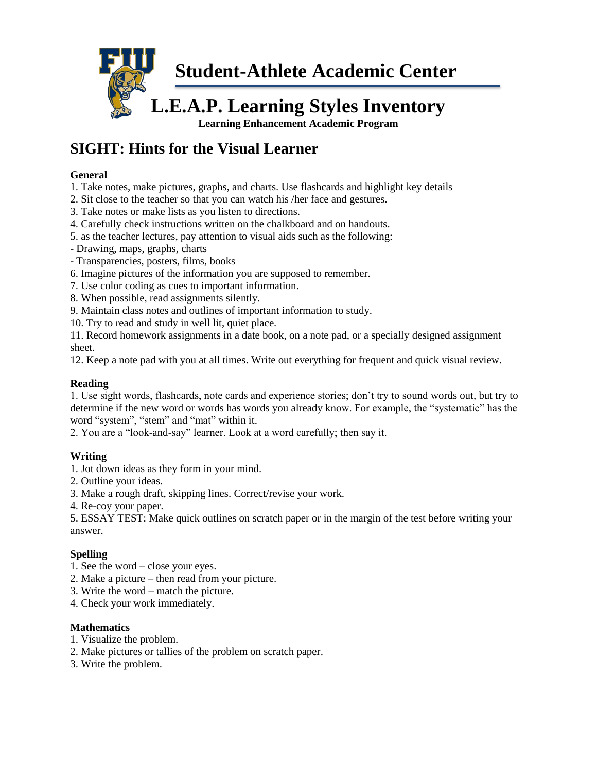

# **SIGHT: Hints for the Visual Learner**

#### **General**

- 1. Take notes, make pictures, graphs, and charts. Use flashcards and highlight key details
- 2. Sit close to the teacher so that you can watch his /her face and gestures.
- 3. Take notes or make lists as you listen to directions.
- 4. Carefully check instructions written on the chalkboard and on handouts.
- 5. as the teacher lectures, pay attention to visual aids such as the following:
- Drawing, maps, graphs, charts
- Transparencies, posters, films, books
- 6. Imagine pictures of the information you are supposed to remember.
- 7. Use color coding as cues to important information.
- 8. When possible, read assignments silently.
- 9. Maintain class notes and outlines of important information to study.
- 10. Try to read and study in well lit, quiet place.

11. Record homework assignments in a date book, on a note pad, or a specially designed assignment sheet.

12. Keep a note pad with you at all times. Write out everything for frequent and quick visual review.

#### **Reading**

1. Use sight words, flashcards, note cards and experience stories; don't try to sound words out, but try to determine if the new word or words has words you already know. For example, the "systematic" has the word "system", "stem" and "mat" within it.

2. You are a "look-and-say" learner. Look at a word carefully; then say it.

#### **Writing**

- 1. Jot down ideas as they form in your mind.
- 2. Outline your ideas.
- 3. Make a rough draft, skipping lines. Correct/revise your work.
- 4. Re-coy your paper.

5. ESSAY TEST: Make quick outlines on scratch paper or in the margin of the test before writing your answer.

#### **Spelling**

- 1. See the word close your eyes.
- 2. Make a picture then read from your picture.
- 3. Write the word match the picture.
- 4. Check your work immediately.

#### **Mathematics**

- 1. Visualize the problem.
- 2. Make pictures or tallies of the problem on scratch paper.
- 3. Write the problem.